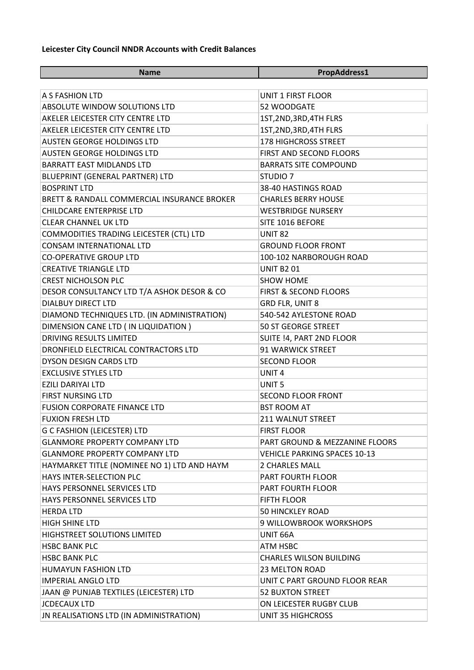## **Leicester City Council NNDR Accounts with Credit Balances**

| <b>Name</b>                                 | PropAddress1                        |  |
|---------------------------------------------|-------------------------------------|--|
|                                             |                                     |  |
| A S FASHION LTD                             | UNIT 1 FIRST FLOOR                  |  |
| ABSOLUTE WINDOW SOLUTIONS LTD               | 52 WOODGATE                         |  |
| AKELER LEICESTER CITY CENTRE LTD            | 1ST, 2ND, 3RD, 4TH FLRS             |  |
| AKELER LEICESTER CITY CENTRE LTD            | 1ST, 2ND, 3RD, 4TH FLRS             |  |
| <b>AUSTEN GEORGE HOLDINGS LTD</b>           | <b>178 HIGHCROSS STREET</b>         |  |
| <b>AUSTEN GEORGE HOLDINGS LTD</b>           | FIRST AND SECOND FLOORS             |  |
| <b>BARRATT EAST MIDLANDS LTD</b>            | <b>BARRATS SITE COMPOUND</b>        |  |
| BLUEPRINT (GENERAL PARTNER) LTD             | STUDIO <sub>7</sub>                 |  |
| <b>BOSPRINT LTD</b>                         | 38-40 HASTINGS ROAD                 |  |
| BRETT & RANDALL COMMERCIAL INSURANCE BROKER | <b>CHARLES BERRY HOUSE</b>          |  |
| <b>CHILDCARE ENTERPRISE LTD</b>             | <b>WESTBRIDGE NURSERY</b>           |  |
| <b>CLEAR CHANNEL UK LTD</b>                 | SITE 1016 BEFORE                    |  |
| COMMODITIES TRADING LEICESTER (CTL) LTD     | <b>UNIT 82</b>                      |  |
| <b>CONSAM INTERNATIONAL LTD</b>             | <b>GROUND FLOOR FRONT</b>           |  |
| <b>CO-OPERATIVE GROUP LTD</b>               | 100-102 NARBOROUGH ROAD             |  |
| <b>CREATIVE TRIANGLE LTD</b>                | <b>UNIT B201</b>                    |  |
| <b>CREST NICHOLSON PLC</b>                  | <b>SHOW HOME</b>                    |  |
| DESOR CONSULTANCY LTD T/A ASHOK DESOR & CO  | <b>FIRST &amp; SECOND FLOORS</b>    |  |
| <b>DIALBUY DIRECT LTD</b>                   | GRD FLR, UNIT 8                     |  |
| DIAMOND TECHNIQUES LTD. (IN ADMINISTRATION) | 540-542 AYLESTONE ROAD              |  |
| DIMENSION CANE LTD ( IN LIQUIDATION )       | <b>50 ST GEORGE STREET</b>          |  |
| <b>DRIVING RESULTS LIMITED</b>              | SUITE !4, PART 2ND FLOOR            |  |
| DRONFIELD ELECTRICAL CONTRACTORS LTD        | 91 WARWICK STREET                   |  |
| <b>DYSON DESIGN CARDS LTD</b>               | <b>SECOND FLOOR</b>                 |  |
| <b>EXCLUSIVE STYLES LTD</b>                 | UNIT <sub>4</sub>                   |  |
| <b>EZILI DARIYAI LTD</b>                    | UNIT <sub>5</sub>                   |  |
| <b>FIRST NURSING LTD</b>                    | <b>SECOND FLOOR FRONT</b>           |  |
| <b>FUSION CORPORATE FINANCE LTD</b>         | <b>BST ROOM AT</b>                  |  |
| <b>FUXION FRESH LTD</b>                     | <b>211 WALNUT STREET</b>            |  |
| <b>G C FASHION (LEICESTER) LTD</b>          | <b>FIRST FLOOR</b>                  |  |
| <b>GLANMORE PROPERTY COMPANY LTD</b>        | PART GROUND & MEZZANINE FLOORS      |  |
| <b>GLANMORE PROPERTY COMPANY LTD</b>        | <b>VEHICLE PARKING SPACES 10-13</b> |  |
| HAYMARKET TITLE (NOMINEE NO 1) LTD AND HAYM | <b>2 CHARLES MALL</b>               |  |
| <b>HAYS INTER-SELECTION PLC</b>             | PART FOURTH FLOOR                   |  |
| HAYS PERSONNEL SERVICES LTD                 | PART FOURTH FLOOR                   |  |
| HAYS PERSONNEL SERVICES LTD                 | <b>FIFTH FLOOR</b>                  |  |
| <b>HERDA LTD</b>                            | <b>50 HINCKLEY ROAD</b>             |  |
| <b>HIGH SHINE LTD</b>                       | 9 WILLOWBROOK WORKSHOPS             |  |
| HIGHSTREET SOLUTIONS LIMITED                | UNIT 66A                            |  |
| <b>HSBC BANK PLC</b>                        | <b>ATM HSBC</b>                     |  |
| <b>HSBC BANK PLC</b>                        | <b>CHARLES WILSON BUILDING</b>      |  |
| <b>HUMAYUN FASHION LTD</b>                  | 23 MELTON ROAD                      |  |
| <b>IMPERIAL ANGLO LTD</b>                   | UNIT C PART GROUND FLOOR REAR       |  |
| JAAN @ PUNJAB TEXTILES (LEICESTER) LTD      | <b>52 BUXTON STREET</b>             |  |
| <b>JCDECAUX LTD</b>                         | ON LEICESTER RUGBY CLUB             |  |
| JN REALISATIONS LTD (IN ADMINISTRATION)     | <b>UNIT 35 HIGHCROSS</b>            |  |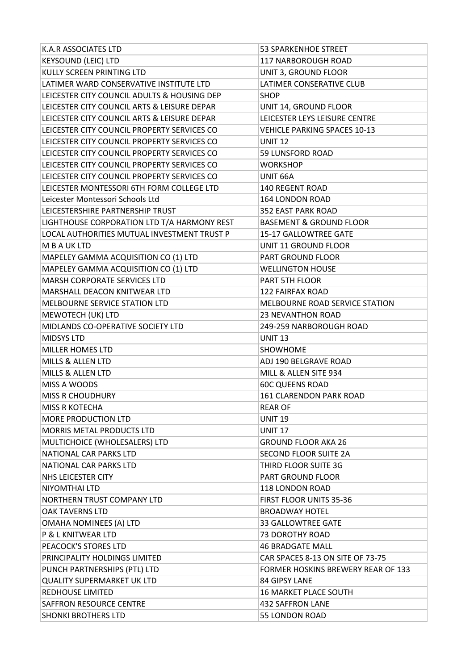| K.A.R ASSOCIATES LTD                        | <b>53 SPARKENHOE STREET</b>         |  |
|---------------------------------------------|-------------------------------------|--|
| <b>KEYSOUND (LEIC) LTD</b>                  | 117 NARBOROUGH ROAD                 |  |
| KULLY SCREEN PRINTING LTD                   | UNIT 3, GROUND FLOOR                |  |
| LATIMER WARD CONSERVATIVE INSTITUTE LTD     | LATIMER CONSERATIVE CLUB            |  |
| LEICESTER CITY COUNCIL ADULTS & HOUSING DEP | <b>SHOP</b>                         |  |
| LEICESTER CITY COUNCIL ARTS & LEISURE DEPAR | UNIT 14, GROUND FLOOR               |  |
| LEICESTER CITY COUNCIL ARTS & LEISURE DEPAR | LEICESTER LEYS LEISURE CENTRE       |  |
| LEICESTER CITY COUNCIL PROPERTY SERVICES CO | <b>VEHICLE PARKING SPACES 10-13</b> |  |
| LEICESTER CITY COUNCIL PROPERTY SERVICES CO | <b>UNIT 12</b>                      |  |
| LEICESTER CITY COUNCIL PROPERTY SERVICES CO | 59 LUNSFORD ROAD                    |  |
| LEICESTER CITY COUNCIL PROPERTY SERVICES CO | <b>WORKSHOP</b>                     |  |
| LEICESTER CITY COUNCIL PROPERTY SERVICES CO | UNIT 66A                            |  |
| LEICESTER MONTESSORI 6TH FORM COLLEGE LTD   | <b>140 REGENT ROAD</b>              |  |
| Leicester Montessori Schools Ltd            | <b>164 LONDON ROAD</b>              |  |
| LEICESTERSHIRE PARTNERSHIP TRUST            | <b>352 EAST PARK ROAD</b>           |  |
| LIGHTHOUSE CORPORATION LTD T/A HARMONY REST | <b>BASEMENT &amp; GROUND FLOOR</b>  |  |
| LOCAL AUTHORITIES MUTUAL INVESTMENT TRUST P | 15-17 GALLOWTREE GATE               |  |
| M B A UK LTD                                | <b>UNIT 11 GROUND FLOOR</b>         |  |
| MAPELEY GAMMA ACQUISITION CO (1) LTD        | PART GROUND FLOOR                   |  |
| MAPELEY GAMMA ACQUISITION CO (1) LTD        | <b>WELLINGTON HOUSE</b>             |  |
| MARSH CORPORATE SERVICES LTD                | PART 5TH FLOOR                      |  |
| MARSHALL DEACON KNITWEAR LTD                | <b>122 FAIRFAX ROAD</b>             |  |
| MELBOURNE SERVICE STATION LTD               | MELBOURNE ROAD SERVICE STATION      |  |
| MEWOTECH (UK) LTD                           | <b>23 NEVANTHON ROAD</b>            |  |
| MIDLANDS CO-OPERATIVE SOCIETY LTD           | 249-259 NARBOROUGH ROAD             |  |
|                                             | <b>UNIT 13</b>                      |  |
| <b>MIDSYS LTD</b>                           |                                     |  |
| <b>MILLER HOMES LTD</b>                     | SHOWHOME                            |  |
| MILLS & ALLEN LTD                           | ADJ 190 BELGRAVE ROAD               |  |
| MILLS & ALLEN LTD                           | MILL & ALLEN SITE 934               |  |
| MISS A WOODS                                | <b>60C QUEENS ROAD</b>              |  |
| <b>MISS R CHOUDHURY</b>                     | 161 CLARENDON PARK ROAD             |  |
| <b>MISS R KOTECHA</b>                       | <b>REAR OF</b>                      |  |
| MORE PRODUCTION LTD                         | <b>UNIT 19</b>                      |  |
| <b>MORRIS METAL PRODUCTS LTD</b>            | <b>UNIT 17</b>                      |  |
| MULTICHOICE (WHOLESALERS) LTD               | <b>GROUND FLOOR AKA 26</b>          |  |
| NATIONAL CAR PARKS LTD                      | <b>SECOND FLOOR SUITE 2A</b>        |  |
| NATIONAL CAR PARKS LTD                      | THIRD FLOOR SUITE 3G                |  |
| NHS LEICESTER CITY                          | PART GROUND FLOOR                   |  |
| <b>NIYOMTHAI LTD</b>                        | 118 LONDON ROAD                     |  |
| NORTHERN TRUST COMPANY LTD                  | FIRST FLOOR UNITS 35-36             |  |
| <b>OAK TAVERNS LTD</b>                      | <b>BROADWAY HOTEL</b>               |  |
| <b>OMAHA NOMINEES (A) LTD</b>               | 33 GALLOWTREE GATE                  |  |
| P & L KNITWEAR LTD                          | <b>73 DOROTHY ROAD</b>              |  |
| PEACOCK'S STORES LTD                        | <b>46 BRADGATE MALL</b>             |  |
| PRINCIPALITY HOLDINGS LIMITED               | CAR SPACES 8-13 ON SITE OF 73-75    |  |
| PUNCH PARTNERSHIPS (PTL) LTD                | FORMER HOSKINS BREWERY REAR OF 133  |  |
| <b>QUALITY SUPERMARKET UK LTD</b>           | 84 GIPSY LANE                       |  |
| <b>REDHOUSE LIMITED</b>                     | <b>16 MARKET PLACE SOUTH</b>        |  |
| <b>SAFFRON RESOURCE CENTRE</b>              | <b>432 SAFFRON LANE</b>             |  |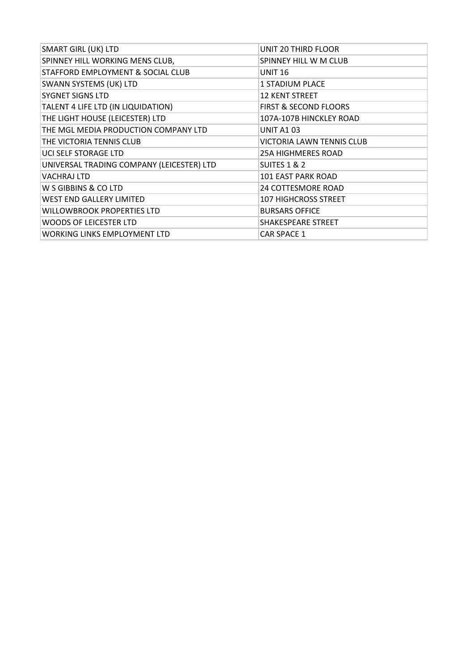| <b>SMART GIRL (UK) LTD</b>                | UNIT 20 THIRD FLOOR              |
|-------------------------------------------|----------------------------------|
| SPINNEY HILL WORKING MENS CLUB,           | SPINNEY HILL W M CLUB            |
| STAFFORD EMPLOYMENT & SOCIAL CLUB         | <b>UNIT 16</b>                   |
| <b>SWANN SYSTEMS (UK) LTD</b>             | <b>1 STADIUM PLACE</b>           |
| <b>SYGNET SIGNS LTD</b>                   | <b>12 KENT STREET</b>            |
| TALENT 4 LIFE LTD (IN LIQUIDATION)        | <b>FIRST &amp; SECOND FLOORS</b> |
| THE LIGHT HOUSE (LEICESTER) LTD           | 107A-107B HINCKLEY ROAD          |
| THE MGL MEDIA PRODUCTION COMPANY LTD      | <b>UNIT A103</b>                 |
| THE VICTORIA TENNIS CLUB                  | <b>VICTORIA LAWN TENNIS CLUB</b> |
| UCI SELF STORAGE LTD                      | <b>25A HIGHMERES ROAD</b>        |
| UNIVERSAL TRADING COMPANY (LEICESTER) LTD | <b>SUITES 1 &amp; 2</b>          |
| <b>VACHRAJ LTD</b>                        | <b>101 EAST PARK ROAD</b>        |
| W S GIBBINS & CO LTD                      | <b>24 COTTESMORE ROAD</b>        |
| <b>WEST END GALLERY LIMITED</b>           | <b>107 HIGHCROSS STREET</b>      |
| <b>WILLOWBROOK PROPERTIES LTD</b>         | <b>BURSARS OFFICE</b>            |
| <b>WOODS OF LEICESTER LTD</b>             | SHAKESPEARE STREET               |
| <b>WORKING LINKS EMPLOYMENT LTD</b>       | <b>CAR SPACE 1</b>               |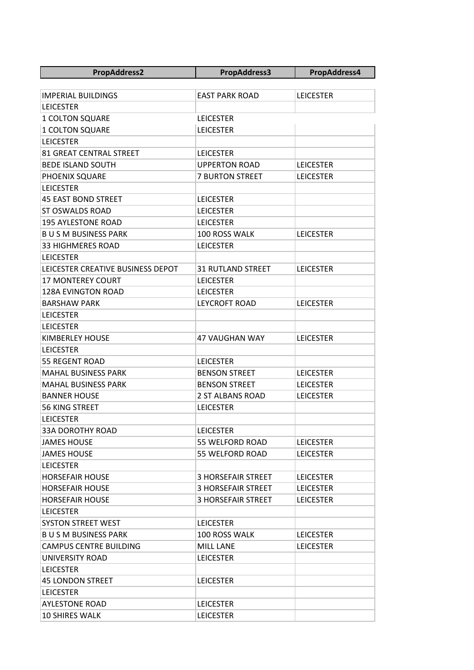| <b>PropAddress2</b>               | <b>PropAddress3</b>       | PropAddress4     |
|-----------------------------------|---------------------------|------------------|
|                                   |                           |                  |
| <b>IMPERIAL BUILDINGS</b>         | <b>EAST PARK ROAD</b>     | <b>LEICESTER</b> |
| <b>LEICESTER</b>                  |                           |                  |
| <b>1 COLTON SQUARE</b>            | <b>LEICESTER</b>          |                  |
| 1 COLTON SQUARE                   | <b>LEICESTER</b>          |                  |
| <b>LEICESTER</b>                  |                           |                  |
| 81 GREAT CENTRAL STREET           | <b>LEICESTER</b>          |                  |
| <b>BEDE ISLAND SOUTH</b>          | <b>UPPERTON ROAD</b>      | <b>LEICESTER</b> |
| PHOENIX SQUARE                    | <b>7 BURTON STREET</b>    | <b>LEICESTER</b> |
| <b>LEICESTER</b>                  |                           |                  |
| <b>45 EAST BOND STREET</b>        | <b>LEICESTER</b>          |                  |
| <b>ST OSWALDS ROAD</b>            | <b>LEICESTER</b>          |                  |
| <b>195 AYLESTONE ROAD</b>         | <b>LEICESTER</b>          |                  |
| <b>BUSM BUSINESS PARK</b>         | 100 ROSS WALK             | <b>LEICESTER</b> |
| <b>33 HIGHMERES ROAD</b>          | <b>LEICESTER</b>          |                  |
| <b>LEICESTER</b>                  |                           |                  |
| LEICESTER CREATIVE BUSINESS DEPOT | <b>31 RUTLAND STREET</b>  | <b>LEICESTER</b> |
| <b>17 MONTEREY COURT</b>          | <b>LEICESTER</b>          |                  |
| <b>128A EVINGTON ROAD</b>         | <b>LEICESTER</b>          |                  |
| <b>BARSHAW PARK</b>               | <b>LEYCROFT ROAD</b>      | <b>LEICESTER</b> |
| <b>LEICESTER</b>                  |                           |                  |
| <b>LEICESTER</b>                  |                           |                  |
| <b>KIMBERLEY HOUSE</b>            | <b>47 VAUGHAN WAY</b>     | <b>LEICESTER</b> |
| <b>LEICESTER</b>                  |                           |                  |
| 55 REGENT ROAD                    | <b>LEICESTER</b>          |                  |
| <b>MAHAL BUSINESS PARK</b>        | <b>BENSON STREET</b>      | <b>LEICESTER</b> |
| <b>MAHAL BUSINESS PARK</b>        | <b>BENSON STREET</b>      | <b>LEICESTER</b> |
| <b>BANNER HOUSE</b>               | <b>2 ST ALBANS ROAD</b>   | <b>LEICESTER</b> |
| <b>56 KING STREET</b>             | <b>LEICESTER</b>          |                  |
| <b>LEICESTER</b>                  |                           |                  |
| <b>33A DOROTHY ROAD</b>           | <b>LEICESTER</b>          |                  |
| <b>JAMES HOUSE</b>                | 55 WELFORD ROAD           | <b>LEICESTER</b> |
| <b>JAMES HOUSE</b>                | 55 WELFORD ROAD           | <b>LEICESTER</b> |
| <b>LEICESTER</b>                  |                           |                  |
| <b>HORSEFAIR HOUSE</b>            | <b>3 HORSEFAIR STREET</b> | <b>LEICESTER</b> |
| <b>HORSEFAIR HOUSE</b>            | <b>3 HORSEFAIR STREET</b> | <b>LEICESTER</b> |
| <b>HORSEFAIR HOUSE</b>            | <b>3 HORSEFAIR STREET</b> | <b>LEICESTER</b> |
| <b>LEICESTER</b>                  |                           |                  |
| <b>SYSTON STREET WEST</b>         | <b>LEICESTER</b>          |                  |
| <b>BUSM BUSINESS PARK</b>         | 100 ROSS WALK             | <b>LEICESTER</b> |
| <b>CAMPUS CENTRE BUILDING</b>     | <b>MILL LANE</b>          | <b>LEICESTER</b> |
| UNIVERSITY ROAD                   | <b>LEICESTER</b>          |                  |
| <b>LEICESTER</b>                  |                           |                  |
| <b>45 LONDON STREET</b>           | <b>LEICESTER</b>          |                  |
| <b>LEICESTER</b>                  |                           |                  |
| <b>AYLESTONE ROAD</b>             | <b>LEICESTER</b>          |                  |
| <b>10 SHIRES WALK</b>             | <b>LEICESTER</b>          |                  |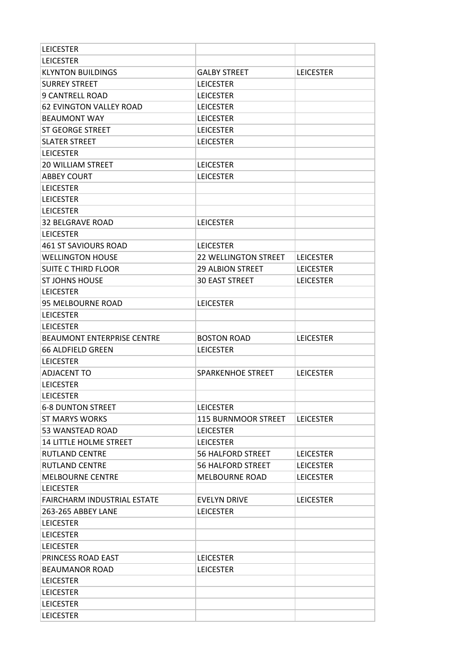| <b>LEICESTER</b>                     |                             |                  |
|--------------------------------------|-----------------------------|------------------|
| <b>LEICESTER</b>                     |                             |                  |
| <b>KLYNTON BUILDINGS</b>             | <b>GALBY STREET</b>         | <b>LEICESTER</b> |
| <b>SURREY STREET</b>                 | <b>LEICESTER</b>            |                  |
| <b>9 CANTRELL ROAD</b>               | <b>LEICESTER</b>            |                  |
| <b>62 EVINGTON VALLEY ROAD</b>       | <b>LEICESTER</b>            |                  |
| <b>BEAUMONT WAY</b>                  | <b>LEICESTER</b>            |                  |
| <b>ST GEORGE STREET</b>              | <b>LEICESTER</b>            |                  |
| <b>SLATER STREET</b>                 | <b>LEICESTER</b>            |                  |
| <b>LEICESTER</b>                     |                             |                  |
| <b>20 WILLIAM STREET</b>             | <b>LEICESTER</b>            |                  |
| <b>ABBEY COURT</b>                   | <b>LEICESTER</b>            |                  |
| <b>LEICESTER</b>                     |                             |                  |
| <b>LEICESTER</b>                     |                             |                  |
| <b>LEICESTER</b>                     |                             |                  |
| 32 BELGRAVE ROAD                     | <b>LEICESTER</b>            |                  |
| <b>LEICESTER</b>                     |                             |                  |
| 461 ST SAVIOURS ROAD                 | <b>LEICESTER</b>            |                  |
| <b>WELLINGTON HOUSE</b>              | <b>22 WELLINGTON STREET</b> | <b>LEICESTER</b> |
| <b>SUITE C THIRD FLOOR</b>           | <b>29 ALBION STREET</b>     | <b>LEICESTER</b> |
| <b>ST JOHNS HOUSE</b>                | <b>30 EAST STREET</b>       | <b>LEICESTER</b> |
| <b>LEICESTER</b>                     |                             |                  |
| 95 MELBOURNE ROAD                    | <b>LEICESTER</b>            |                  |
| <b>LEICESTER</b>                     |                             |                  |
| <b>LEICESTER</b>                     |                             |                  |
|                                      |                             |                  |
|                                      |                             |                  |
| <b>BEAUMONT ENTERPRISE CENTRE</b>    | <b>BOSTON ROAD</b>          | <b>LEICESTER</b> |
| 66 ALDFIELD GREEN                    | <b>LEICESTER</b>            |                  |
| <b>LEICESTER</b>                     |                             |                  |
| <b>ADJACENT TO</b>                   | <b>SPARKENHOE STREET</b>    | <b>LEICESTER</b> |
| <b>LEICESTER</b>                     |                             |                  |
| <b>LEICESTER</b>                     |                             |                  |
| <b>6-8 DUNTON STREET</b>             | <b>LEICESTER</b>            |                  |
| <b>ST MARYS WORKS</b>                | 115 BURNMOOR STREET         | <b>LEICESTER</b> |
| 53 WANSTEAD ROAD                     | <b>LEICESTER</b>            |                  |
| <b>14 LITTLE HOLME STREET</b>        | <b>LEICESTER</b>            |                  |
| <b>RUTLAND CENTRE</b>                | <b>56 HALFORD STREET</b>    | <b>LEICESTER</b> |
| <b>RUTLAND CENTRE</b>                | <b>56 HALFORD STREET</b>    | <b>LEICESTER</b> |
| <b>MELBOURNE CENTRE</b>              | <b>MELBOURNE ROAD</b>       | <b>LEICESTER</b> |
| <b>LEICESTER</b>                     |                             |                  |
| <b>FAIRCHARM INDUSTRIAL ESTATE</b>   | <b>EVELYN DRIVE</b>         | <b>LEICESTER</b> |
| 263-265 ABBEY LANE                   | <b>LEICESTER</b>            |                  |
| <b>LEICESTER</b>                     |                             |                  |
| <b>LEICESTER</b>                     |                             |                  |
| <b>LEICESTER</b>                     |                             |                  |
| <b>PRINCESS ROAD EAST</b>            | <b>LEICESTER</b>            |                  |
| <b>BEAUMANOR ROAD</b>                | <b>LEICESTER</b>            |                  |
| <b>LEICESTER</b>                     |                             |                  |
| <b>LEICESTER</b>                     |                             |                  |
| <b>LEICESTER</b><br><b>LEICESTER</b> |                             |                  |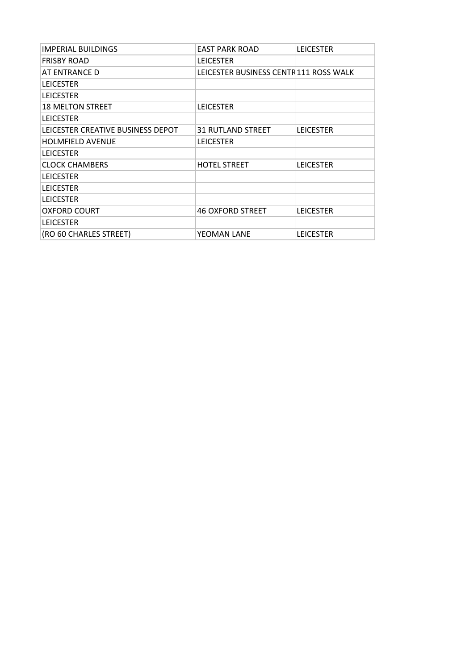| <b>IMPERIAL BUILDINGS</b>         | <b>EAST PARK ROAD</b>                 | <b>LEICESTER</b> |
|-----------------------------------|---------------------------------------|------------------|
| <b>FRISBY ROAD</b>                | <b>LEICESTER</b>                      |                  |
| AT ENTRANCE D                     | LEICESTER BUSINESS CENTR111 ROSS WALK |                  |
| <b>LEICESTER</b>                  |                                       |                  |
| <b>LEICESTER</b>                  |                                       |                  |
| <b>18 MELTON STREET</b>           | <b>LEICESTER</b>                      |                  |
| <b>LEICESTER</b>                  |                                       |                  |
| LEICESTER CREATIVE BUSINESS DEPOT | <b>31 RUTLAND STREET</b>              | <b>LEICESTER</b> |
| <b>HOLMFIELD AVENUE</b>           | <b>LEICESTER</b>                      |                  |
| <b>LEICESTER</b>                  |                                       |                  |
| <b>CLOCK CHAMBERS</b>             | <b>HOTEL STREET</b>                   | <b>LEICESTER</b> |
| <b>LEICESTER</b>                  |                                       |                  |
| <b>LEICESTER</b>                  |                                       |                  |
| <b>LEICESTER</b>                  |                                       |                  |
| <b>OXFORD COURT</b>               | <b>46 OXFORD STREET</b>               | <b>LEICESTER</b> |
| <b>LEICESTER</b>                  |                                       |                  |
| (RO 60 CHARLES STREET)            | YEOMAN LANE                           | <b>LEICESTER</b> |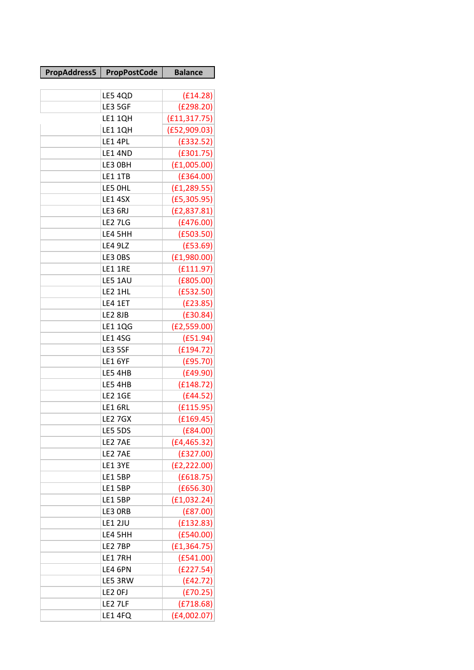| <b>LE5 4QD</b><br>(E14.28)<br>(E298.20)<br>LE3 5GF<br>(E11, 317.75)<br>LE1 1QH<br>LE1 1QH<br>(E52,909.03)<br>LE1 4PL<br>(E332.52)<br><b>LE1 4ND</b><br>(E301.75)<br>(E1,005.00)<br>LE3 OBH<br><b>LE1 1TB</b><br>(E364.00)<br>(E1, 289.55)<br>LE5 OHL<br>(E5, 305.95)<br>LE1 4SX<br>LE3 6RJ<br>(E2, 837.81)<br>(E476.00)<br><b>LE2 7LG</b><br>(E503.50)<br>LE4 5HH<br>(E53.69)<br><b>LE4 9LZ</b><br>LE3 OBS<br>(E1,980.00)<br>(E111.97)<br>LE1 1RE<br>(E805.00)<br>LE5 1AU<br>(E532.50)<br>LE2 1HL<br>(E23.85)<br>LE4 1ET<br>(E30.84)<br>LE2 8JB<br><b>LE1 1QG</b><br>(E2, 559.00)<br><b>LE1 4SG</b><br>(E51.94)<br>LE3 5SF<br>(E194.72)<br>(E95.70)<br>LE1 6YF<br>(E49.90)<br>LE5 4HB<br>(E148.72)<br>LE5 4HB<br>(E44.52)<br><b>LE2 1GE</b><br>(f115.95)<br>LE16RL<br>(E169.45)<br>LE2 7GX<br>LE5 5DS<br>(E84.00)<br>LE2 7AE<br>(E4, 465.32)<br>(E327.00)<br>LE2 7AE<br>LE1 3YE<br>(E2, 222.00)<br>LE1 5BP<br>(E618.75)<br>LE1 5BP<br>(E656.30)<br>LE1 5BP<br>(E1,032.24)<br>(E87.00)<br>LE3 ORB<br>(E132.83)<br><b>LE1 2JU</b><br>LE4 5HH<br>(E540.00)<br>(E1, 364.75)<br>LE2 7BP<br>(E541.00)<br>LE1 7RH<br>(E227.54)<br>LE4 6PN<br>LE5 3RW<br>(E42.72) | PropAddress5 | <b>PropPostCode</b> | <b>Balance</b> |
|-----------------------------------------------------------------------------------------------------------------------------------------------------------------------------------------------------------------------------------------------------------------------------------------------------------------------------------------------------------------------------------------------------------------------------------------------------------------------------------------------------------------------------------------------------------------------------------------------------------------------------------------------------------------------------------------------------------------------------------------------------------------------------------------------------------------------------------------------------------------------------------------------------------------------------------------------------------------------------------------------------------------------------------------------------------------------------------------------------------------------------------------------------------|--------------|---------------------|----------------|
|                                                                                                                                                                                                                                                                                                                                                                                                                                                                                                                                                                                                                                                                                                                                                                                                                                                                                                                                                                                                                                                                                                                                                           |              |                     |                |
|                                                                                                                                                                                                                                                                                                                                                                                                                                                                                                                                                                                                                                                                                                                                                                                                                                                                                                                                                                                                                                                                                                                                                           |              |                     |                |
|                                                                                                                                                                                                                                                                                                                                                                                                                                                                                                                                                                                                                                                                                                                                                                                                                                                                                                                                                                                                                                                                                                                                                           |              |                     |                |
|                                                                                                                                                                                                                                                                                                                                                                                                                                                                                                                                                                                                                                                                                                                                                                                                                                                                                                                                                                                                                                                                                                                                                           |              |                     |                |
|                                                                                                                                                                                                                                                                                                                                                                                                                                                                                                                                                                                                                                                                                                                                                                                                                                                                                                                                                                                                                                                                                                                                                           |              |                     |                |
|                                                                                                                                                                                                                                                                                                                                                                                                                                                                                                                                                                                                                                                                                                                                                                                                                                                                                                                                                                                                                                                                                                                                                           |              |                     |                |
|                                                                                                                                                                                                                                                                                                                                                                                                                                                                                                                                                                                                                                                                                                                                                                                                                                                                                                                                                                                                                                                                                                                                                           |              |                     |                |
|                                                                                                                                                                                                                                                                                                                                                                                                                                                                                                                                                                                                                                                                                                                                                                                                                                                                                                                                                                                                                                                                                                                                                           |              |                     |                |
|                                                                                                                                                                                                                                                                                                                                                                                                                                                                                                                                                                                                                                                                                                                                                                                                                                                                                                                                                                                                                                                                                                                                                           |              |                     |                |
|                                                                                                                                                                                                                                                                                                                                                                                                                                                                                                                                                                                                                                                                                                                                                                                                                                                                                                                                                                                                                                                                                                                                                           |              |                     |                |
|                                                                                                                                                                                                                                                                                                                                                                                                                                                                                                                                                                                                                                                                                                                                                                                                                                                                                                                                                                                                                                                                                                                                                           |              |                     |                |
|                                                                                                                                                                                                                                                                                                                                                                                                                                                                                                                                                                                                                                                                                                                                                                                                                                                                                                                                                                                                                                                                                                                                                           |              |                     |                |
|                                                                                                                                                                                                                                                                                                                                                                                                                                                                                                                                                                                                                                                                                                                                                                                                                                                                                                                                                                                                                                                                                                                                                           |              |                     |                |
|                                                                                                                                                                                                                                                                                                                                                                                                                                                                                                                                                                                                                                                                                                                                                                                                                                                                                                                                                                                                                                                                                                                                                           |              |                     |                |
|                                                                                                                                                                                                                                                                                                                                                                                                                                                                                                                                                                                                                                                                                                                                                                                                                                                                                                                                                                                                                                                                                                                                                           |              |                     |                |
|                                                                                                                                                                                                                                                                                                                                                                                                                                                                                                                                                                                                                                                                                                                                                                                                                                                                                                                                                                                                                                                                                                                                                           |              |                     |                |
|                                                                                                                                                                                                                                                                                                                                                                                                                                                                                                                                                                                                                                                                                                                                                                                                                                                                                                                                                                                                                                                                                                                                                           |              |                     |                |
|                                                                                                                                                                                                                                                                                                                                                                                                                                                                                                                                                                                                                                                                                                                                                                                                                                                                                                                                                                                                                                                                                                                                                           |              |                     |                |
|                                                                                                                                                                                                                                                                                                                                                                                                                                                                                                                                                                                                                                                                                                                                                                                                                                                                                                                                                                                                                                                                                                                                                           |              |                     |                |
|                                                                                                                                                                                                                                                                                                                                                                                                                                                                                                                                                                                                                                                                                                                                                                                                                                                                                                                                                                                                                                                                                                                                                           |              |                     |                |
|                                                                                                                                                                                                                                                                                                                                                                                                                                                                                                                                                                                                                                                                                                                                                                                                                                                                                                                                                                                                                                                                                                                                                           |              |                     |                |
|                                                                                                                                                                                                                                                                                                                                                                                                                                                                                                                                                                                                                                                                                                                                                                                                                                                                                                                                                                                                                                                                                                                                                           |              |                     |                |
|                                                                                                                                                                                                                                                                                                                                                                                                                                                                                                                                                                                                                                                                                                                                                                                                                                                                                                                                                                                                                                                                                                                                                           |              |                     |                |
|                                                                                                                                                                                                                                                                                                                                                                                                                                                                                                                                                                                                                                                                                                                                                                                                                                                                                                                                                                                                                                                                                                                                                           |              |                     |                |
|                                                                                                                                                                                                                                                                                                                                                                                                                                                                                                                                                                                                                                                                                                                                                                                                                                                                                                                                                                                                                                                                                                                                                           |              |                     |                |
|                                                                                                                                                                                                                                                                                                                                                                                                                                                                                                                                                                                                                                                                                                                                                                                                                                                                                                                                                                                                                                                                                                                                                           |              |                     |                |
|                                                                                                                                                                                                                                                                                                                                                                                                                                                                                                                                                                                                                                                                                                                                                                                                                                                                                                                                                                                                                                                                                                                                                           |              |                     |                |
|                                                                                                                                                                                                                                                                                                                                                                                                                                                                                                                                                                                                                                                                                                                                                                                                                                                                                                                                                                                                                                                                                                                                                           |              |                     |                |
|                                                                                                                                                                                                                                                                                                                                                                                                                                                                                                                                                                                                                                                                                                                                                                                                                                                                                                                                                                                                                                                                                                                                                           |              |                     |                |
|                                                                                                                                                                                                                                                                                                                                                                                                                                                                                                                                                                                                                                                                                                                                                                                                                                                                                                                                                                                                                                                                                                                                                           |              |                     |                |
|                                                                                                                                                                                                                                                                                                                                                                                                                                                                                                                                                                                                                                                                                                                                                                                                                                                                                                                                                                                                                                                                                                                                                           |              |                     |                |
|                                                                                                                                                                                                                                                                                                                                                                                                                                                                                                                                                                                                                                                                                                                                                                                                                                                                                                                                                                                                                                                                                                                                                           |              |                     |                |
|                                                                                                                                                                                                                                                                                                                                                                                                                                                                                                                                                                                                                                                                                                                                                                                                                                                                                                                                                                                                                                                                                                                                                           |              |                     |                |
|                                                                                                                                                                                                                                                                                                                                                                                                                                                                                                                                                                                                                                                                                                                                                                                                                                                                                                                                                                                                                                                                                                                                                           |              |                     |                |
|                                                                                                                                                                                                                                                                                                                                                                                                                                                                                                                                                                                                                                                                                                                                                                                                                                                                                                                                                                                                                                                                                                                                                           |              |                     |                |
|                                                                                                                                                                                                                                                                                                                                                                                                                                                                                                                                                                                                                                                                                                                                                                                                                                                                                                                                                                                                                                                                                                                                                           |              |                     |                |
|                                                                                                                                                                                                                                                                                                                                                                                                                                                                                                                                                                                                                                                                                                                                                                                                                                                                                                                                                                                                                                                                                                                                                           |              |                     |                |
|                                                                                                                                                                                                                                                                                                                                                                                                                                                                                                                                                                                                                                                                                                                                                                                                                                                                                                                                                                                                                                                                                                                                                           |              |                     |                |
|                                                                                                                                                                                                                                                                                                                                                                                                                                                                                                                                                                                                                                                                                                                                                                                                                                                                                                                                                                                                                                                                                                                                                           |              |                     |                |
|                                                                                                                                                                                                                                                                                                                                                                                                                                                                                                                                                                                                                                                                                                                                                                                                                                                                                                                                                                                                                                                                                                                                                           |              |                     |                |
|                                                                                                                                                                                                                                                                                                                                                                                                                                                                                                                                                                                                                                                                                                                                                                                                                                                                                                                                                                                                                                                                                                                                                           |              |                     |                |
|                                                                                                                                                                                                                                                                                                                                                                                                                                                                                                                                                                                                                                                                                                                                                                                                                                                                                                                                                                                                                                                                                                                                                           |              |                     |                |
|                                                                                                                                                                                                                                                                                                                                                                                                                                                                                                                                                                                                                                                                                                                                                                                                                                                                                                                                                                                                                                                                                                                                                           |              |                     |                |
|                                                                                                                                                                                                                                                                                                                                                                                                                                                                                                                                                                                                                                                                                                                                                                                                                                                                                                                                                                                                                                                                                                                                                           |              |                     |                |
|                                                                                                                                                                                                                                                                                                                                                                                                                                                                                                                                                                                                                                                                                                                                                                                                                                                                                                                                                                                                                                                                                                                                                           |              | LE2 OFJ             | (E70.25)       |
| (E718.68)<br>LE2 7LF                                                                                                                                                                                                                                                                                                                                                                                                                                                                                                                                                                                                                                                                                                                                                                                                                                                                                                                                                                                                                                                                                                                                      |              |                     |                |
| (E4,002.07)<br>LE1 4FQ                                                                                                                                                                                                                                                                                                                                                                                                                                                                                                                                                                                                                                                                                                                                                                                                                                                                                                                                                                                                                                                                                                                                    |              |                     |                |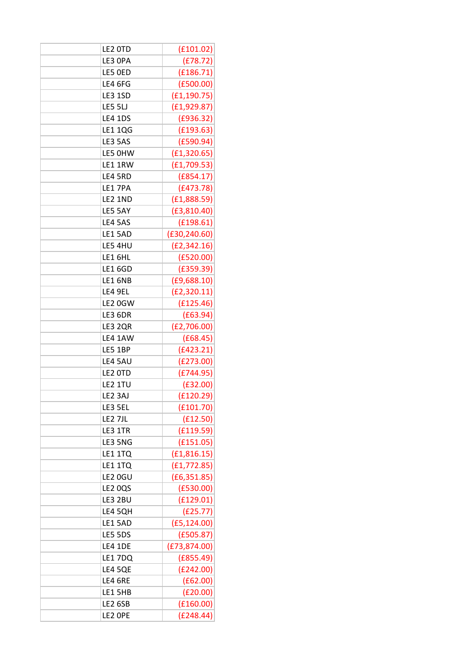| LE2 OTD        | (E101.02)     |
|----------------|---------------|
| LE3 OPA        | (E78.72)      |
| LE5 OED        | (E186.71)     |
| LE4 6FG        | (E500.00)     |
| <b>LE3 1SD</b> | (E1, 190.75)  |
| <b>LE5 5LJ</b> | (E1, 929.87)  |
| <b>LE4 1DS</b> | (E936.32)     |
| <b>LE1 1QG</b> | (E193.63)     |
| LE3 5AS        | (E590.94)     |
| LE5 OHW        | (E1, 320.65)  |
| LE1 1RW        | (E1, 709.53)  |
| LE4 5RD        | (E854.17)     |
| LE17PA         | (E473.78)     |
| <b>LE2 1ND</b> | (E1, 888.59)  |
| LE5 5AY        | (E3, 810.40)  |
| LE4 5AS        | (E198.61)     |
| LE1 5AD        | (E30, 240.60) |
| LE5 4HU        | (E2, 342.16)  |
| LE16HL         | (E520.00)     |
| <b>LE1 6GD</b> | (E359.39)     |
| LE16NB         | (E9, 688.10)  |
| LE4 9EL        | (E2, 320.11)  |
| LE2 0GW        | (f125.46)     |
| LE3 6DR        | (E63.94)      |
| LE3 2QR        | (E2, 706.00)  |
| LE4 1AW        | (£68.45)      |
| LE5 1BP        | (E423.21)     |
| LE4 5AU        | (E273.00)     |
| LE2 OTD        | (E744.95)     |
| LE2 1TU        | (E32.00)      |
| LE2 3AJ        | (f120.29)     |
| LE3 5EL        | (E101.70)     |
| LE2 7JL        | (f12.50)      |
| LE3 1TR        | (E119.59)     |
| LE3 5NG        | (E151.05)     |
| LE1 1TQ        | (E1, 816.15)  |
| LE1 1TQ        | (E1, 772.85)  |
| LE2 0GU        | (E6, 351.85)  |
| <b>LE2 0QS</b> | (E530.00)     |
| LE3 2BU        | (f129.01)     |
| LE4 5QH        | (E25.77)      |
| LE15AD         | (E5, 124.00)  |
| LE5 5DS        | (E505.87)     |
| <b>LE4 1DE</b> | (E73, 874.00) |
| LE1 7DQ        | (E855.49)     |
| LE4 5QE        | (E242.00)     |
| LE4 6RE        | (E62.00)      |
| LE1 5HB        | (E20.00)      |
| LE2 6SB        | (E160.00)     |
| LE2 OPE        | (E248.44)     |
|                |               |